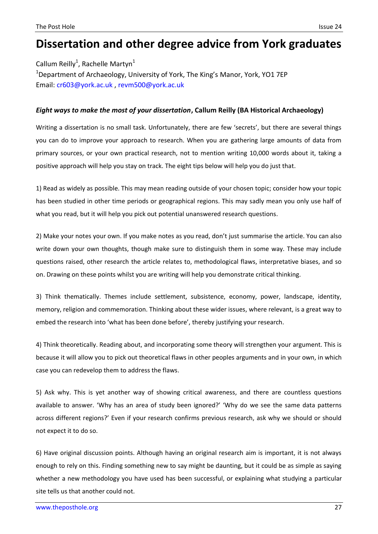## **Dissertation and other degree advice from York graduates**

Callum Reilly<sup>1</sup>, Rachelle Martyn<sup>1</sup> <sup>1</sup>Department of Archaeology, University of York, The King's Manor, York, YO1 7EP Email: [cr603@york.ac.uk](mailto:cr603@york.ac.uk) , [revm500@york.ac.uk](mailto:revm500@york.ac.uk)

## *Eight ways to make the most of your dissertation***, Callum Reilly (BA Historical Archaeology)**

Writing a dissertation is no small task. Unfortunately, there are few 'secrets', but there are several things you can do to improve your approach to research. When you are gathering large amounts of data from primary sources, or your own practical research, not to mention writing 10,000 words about it, taking a positive approach will help you stay on track. The eight tips below will help you do just that.

1) Read as widely as possible. This may mean reading outside of your chosen topic; consider how your topic has been studied in other time periods or geographical regions. This may sadly mean you only use half of what you read, but it will help you pick out potential unanswered research questions.

2) Make your notes your own. If you make notes as you read, don't just summarise the article. You can also write down your own thoughts, though make sure to distinguish them in some way. These may include questions raised, other research the article relates to, methodological flaws, interpretative biases, and so on. Drawing on these points whilst you are writing will help you demonstrate critical thinking.

3) Think thematically. Themes include settlement, subsistence, economy, power, landscape, identity, memory, religion and commemoration. Thinking about these wider issues, where relevant, is a great way to embed the research into 'what has been done before', thereby justifying your research.

4) Think theoretically. Reading about, and incorporating some theory will strengthen your argument. This is because it will allow you to pick out theoretical flaws in other peoples arguments and in your own, in which case you can redevelop them to address the flaws.

5) Ask why. This is yet another way of showing critical awareness, and there are countless questions available to answer. 'Why has an area of study been ignored?' 'Why do we see the same data patterns across different regions?' Even if your research confirms previous research, ask why we should or should not expect it to do so.

6) Have original discussion points. Although having an original research aim is important, it is not always enough to rely on this. Finding something new to say might be daunting, but it could be as simple as saying whether a new methodology you have used has been successful, or explaining what studying a particular site tells us that another could not.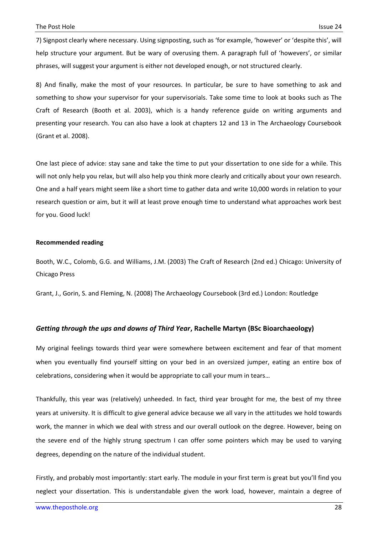7) Signpost clearly where necessary. Using signposting, such as 'for example, 'however' or 'despite this', will help structure your argument. But be wary of overusing them. A paragraph full of 'howevers', or similar phrases, will suggest your argument is either not developed enough, or not structured clearly.

8) And finally, make the most of your resources. In particular, be sure to have something to ask and something to show your supervisor for your supervisorials. Take some time to look at books such as The Craft of Research (Booth et al. 2003), which is a handy reference guide on writing arguments and presenting your research. You can also have a look at chapters 12 and 13 in The Archaeology Coursebook (Grant et al. 2008).

One last piece of advice: stay sane and take the time to put your dissertation to one side for a while. This will not only help you relax, but will also help you think more clearly and critically about your own research. One and a half years might seem like a short time to gather data and write 10,000 words in relation to your research question or aim, but it will at least prove enough time to understand what approaches work best for you. Good luck!

## **Recommended reading**

Booth, W.C., Colomb, G.G. and Williams, J.M. (2003) The Craft of Research (2nd ed.) Chicago: University of Chicago Press

Grant, J., Gorin, S. and Fleming, N. (2008) The Archaeology Coursebook (3rd ed.) London: Routledge

## *Getting through the ups and downs of Third Year***, Rachelle Martyn (BSc Bioarchaeology)**

My original feelings towards third year were somewhere between excitement and fear of that moment when you eventually find yourself sitting on your bed in an oversized jumper, eating an entire box of celebrations, considering when it would be appropriate to call your mum in tears…

Thankfully, this year was (relatively) unheeded. In fact, third year brought for me, the best of my three years at university. It is difficult to give general advice because we all vary in the attitudes we hold towards work, the manner in which we deal with stress and our overall outlook on the degree. However, being on the severe end of the highly strung spectrum I can offer some pointers which may be used to varying degrees, depending on the nature of the individual student.

Firstly, and probably most importantly: start early. The module in your first term is great but you'll find you neglect your dissertation. This is understandable given the work load, however, maintain a degree of